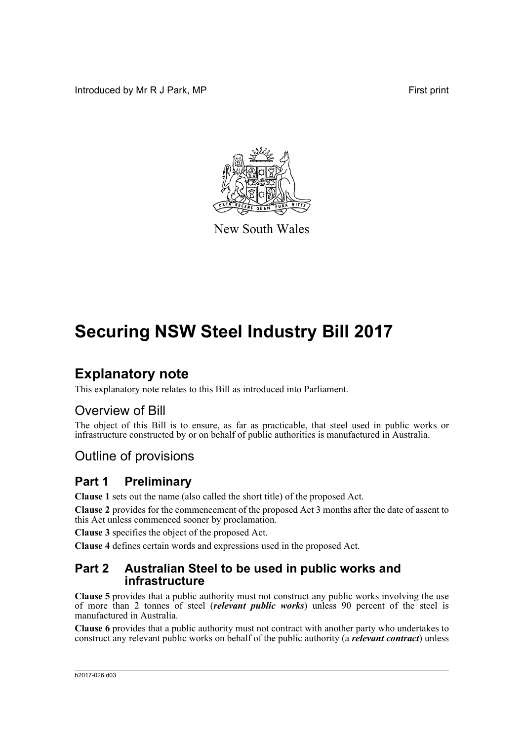Introduced by Mr R J Park, MP **First** print



New South Wales

# **Securing NSW Steel Industry Bill 2017**

# **Explanatory note**

This explanatory note relates to this Bill as introduced into Parliament.

## Overview of Bill

The object of this Bill is to ensure, as far as practicable, that steel used in public works or infrastructure constructed by or on behalf of public authorities is manufactured in Australia.

## Outline of provisions

## **Part 1 Preliminary**

**Clause 1** sets out the name (also called the short title) of the proposed Act.

**Clause 2** provides for the commencement of the proposed Act 3 months after the date of assent to this Act unless commenced sooner by proclamation.

**Clause 3** specifies the object of the proposed Act.

**Clause 4** defines certain words and expressions used in the proposed Act.

### **Part 2 Australian Steel to be used in public works and infrastructure**

**Clause 5** provides that a public authority must not construct any public works involving the use of more than 2 tonnes of steel (*relevant public works*) unless 90 percent of the steel is manufactured in Australia.

**Clause 6** provides that a public authority must not contract with another party who undertakes to construct any relevant public works on behalf of the public authority (a *relevant contract*) unless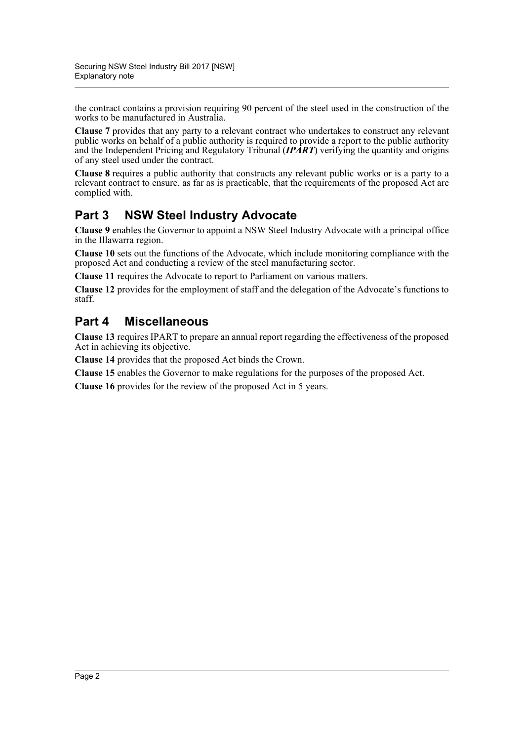the contract contains a provision requiring 90 percent of the steel used in the construction of the works to be manufactured in Australia.

**Clause 7** provides that any party to a relevant contract who undertakes to construct any relevant public works on behalf of a public authority is required to provide a report to the public authority and the Independent Pricing and Regulatory Tribunal (*IPART*) verifying the quantity and origins of any steel used under the contract.

**Clause 8** requires a public authority that constructs any relevant public works or is a party to a relevant contract to ensure, as far as is practicable, that the requirements of the proposed Act are complied with.

## **Part 3 NSW Steel Industry Advocate**

**Clause 9** enables the Governor to appoint a NSW Steel Industry Advocate with a principal office in the Illawarra region.

**Clause 10** sets out the functions of the Advocate, which include monitoring compliance with the proposed Act and conducting a review of the steel manufacturing sector.

**Clause 11** requires the Advocate to report to Parliament on various matters.

**Clause 12** provides for the employment of staff and the delegation of the Advocate's functions to staff.

## **Part 4 Miscellaneous**

**Clause 13** requires IPART to prepare an annual report regarding the effectiveness of the proposed Act in achieving its objective.

**Clause 14** provides that the proposed Act binds the Crown.

**Clause 15** enables the Governor to make regulations for the purposes of the proposed Act.

**Clause 16** provides for the review of the proposed Act in 5 years.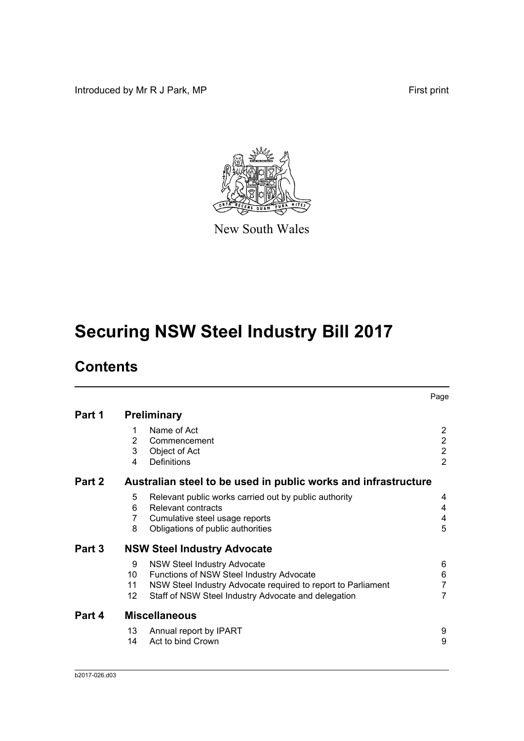Introduced by Mr R J Park, MP First print



New South Wales

# **Securing NSW Steel Industry Bill 2017**

# **Contents**

|        |                                    |                                                                                                                                                                                                       | Page                                               |  |  |
|--------|------------------------------------|-------------------------------------------------------------------------------------------------------------------------------------------------------------------------------------------------------|----------------------------------------------------|--|--|
| Part 1 | <b>Preliminary</b>                 |                                                                                                                                                                                                       |                                                    |  |  |
|        | 1<br>2<br>3                        | Name of Act<br>Commencement<br>Object of Act                                                                                                                                                          | $\overline{2}$<br>$\overline{2}$<br>$\overline{2}$ |  |  |
| Part 2 | 4                                  | <b>Definitions</b><br>Australian steel to be used in public works and infrastructure                                                                                                                  | $\overline{2}$                                     |  |  |
|        | 5<br>6<br>7<br>8                   | Relevant public works carried out by public authority<br>Relevant contracts<br>Cumulative steel usage reports<br>Obligations of public authorities                                                    | 4<br>4<br>4<br>5                                   |  |  |
| Part 3 | <b>NSW Steel Industry Advocate</b> |                                                                                                                                                                                                       |                                                    |  |  |
|        | 9<br>10<br>11<br>12                | <b>NSW Steel Industry Advocate</b><br>Functions of NSW Steel Industry Advocate<br>NSW Steel Industry Advocate required to report to Parliament<br>Staff of NSW Steel Industry Advocate and delegation | 6<br>6<br>$\overline{7}$<br>7                      |  |  |
| Part 4 |                                    | <b>Miscellaneous</b>                                                                                                                                                                                  |                                                    |  |  |
|        | 13<br>14                           | Annual report by IPART<br>Act to bind Crown                                                                                                                                                           | 9<br>9                                             |  |  |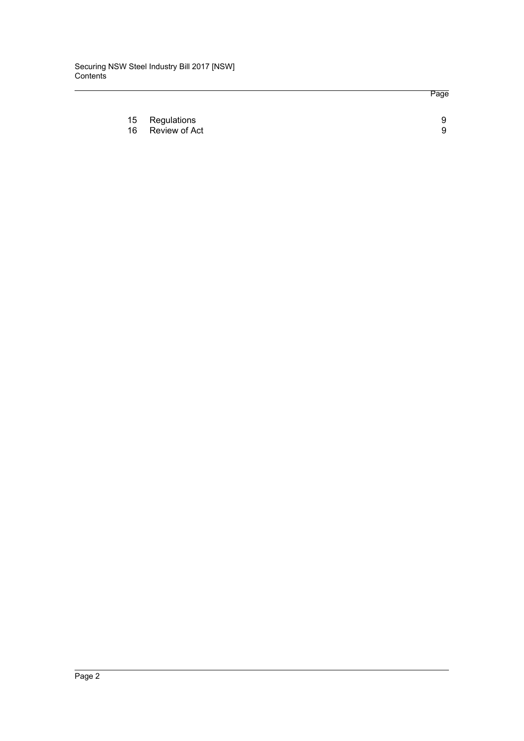Page

| 15 Regulations   |  |
|------------------|--|
| 16 Review of Act |  |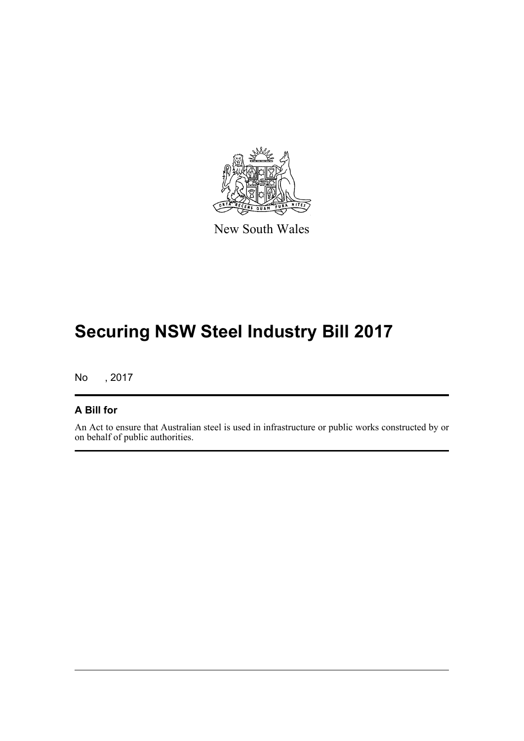

New South Wales

# **Securing NSW Steel Industry Bill 2017**

No , 2017

### **A Bill for**

An Act to ensure that Australian steel is used in infrastructure or public works constructed by or on behalf of public authorities.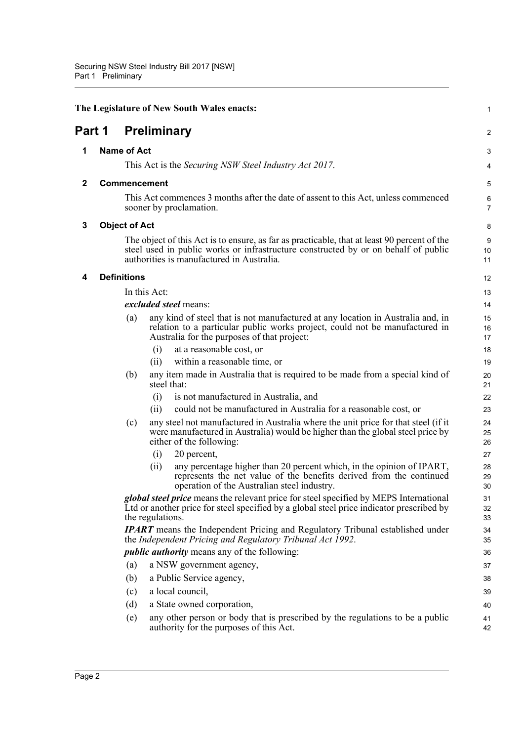<span id="page-5-4"></span><span id="page-5-3"></span><span id="page-5-2"></span><span id="page-5-1"></span><span id="page-5-0"></span>

| <b>Preliminary</b><br>Part 1<br><b>Name of Act</b><br>1<br>This Act is the Securing NSW Steel Industry Act 2017.<br><b>Commencement</b><br>$\mathbf{2}$<br>This Act commences 3 months after the date of assent to this Act, unless commenced<br>sooner by proclamation.<br><b>Object of Act</b><br>3<br>The object of this Act is to ensure, as far as practicable, that at least 90 percent of the<br>steel used in public works or infrastructure constructed by or on behalf of public<br>authorities is manufactured in Australia.<br><b>Definitions</b><br>4<br>In this Act:<br>excluded steel means:<br>any kind of steel that is not manufactured at any location in Australia and, in<br>(a)<br>relation to a particular public works project, could not be manufactured in<br>Australia for the purposes of that project:<br>at a reasonable cost, or<br>(i)<br>within a reasonable time, or<br>(i)<br>any item made in Australia that is required to be made from a special kind of<br>(b)<br>steel that:<br>is not manufactured in Australia, and<br>(i)<br>could not be manufactured in Australia for a reasonable cost, or<br>(ii)<br>(c)<br>any steel not manufactured in Australia where the unit price for that steel (if it<br>were manufactured in Australia) would be higher than the global steel price by<br>either of the following:<br>20 percent,<br>(i)<br>any percentage higher than 20 percent which, in the opinion of IPART,<br>(ii)<br>represents the net value of the benefits derived from the continued<br>operation of the Australian steel industry.<br><i>global steel price</i> means the relevant price for steel specified by MEPS International<br>Ltd or another price for steel specified by a global steel price indicator prescribed by<br>the regulations.<br><b>IPART</b> means the Independent Pricing and Regulatory Tribunal established under<br>the Independent Pricing and Regulatory Tribunal Act 1992.<br><i>public authority</i> means any of the following:<br>a NSW government agency,<br>(a)<br>a Public Service agency,<br>(b)<br>a local council,<br>(c)<br>(d)<br>a State owned corporation, | 1              |
|------------------------------------------------------------------------------------------------------------------------------------------------------------------------------------------------------------------------------------------------------------------------------------------------------------------------------------------------------------------------------------------------------------------------------------------------------------------------------------------------------------------------------------------------------------------------------------------------------------------------------------------------------------------------------------------------------------------------------------------------------------------------------------------------------------------------------------------------------------------------------------------------------------------------------------------------------------------------------------------------------------------------------------------------------------------------------------------------------------------------------------------------------------------------------------------------------------------------------------------------------------------------------------------------------------------------------------------------------------------------------------------------------------------------------------------------------------------------------------------------------------------------------------------------------------------------------------------------------------------------------------------------------------------------------------------------------------------------------------------------------------------------------------------------------------------------------------------------------------------------------------------------------------------------------------------------------------------------------------------------------------------------------------------------------------------------------------------------------------------------------------------------------------|----------------|
|                                                                                                                                                                                                                                                                                                                                                                                                                                                                                                                                                                                                                                                                                                                                                                                                                                                                                                                                                                                                                                                                                                                                                                                                                                                                                                                                                                                                                                                                                                                                                                                                                                                                                                                                                                                                                                                                                                                                                                                                                                                                                                                                                            | 2              |
|                                                                                                                                                                                                                                                                                                                                                                                                                                                                                                                                                                                                                                                                                                                                                                                                                                                                                                                                                                                                                                                                                                                                                                                                                                                                                                                                                                                                                                                                                                                                                                                                                                                                                                                                                                                                                                                                                                                                                                                                                                                                                                                                                            | 3              |
|                                                                                                                                                                                                                                                                                                                                                                                                                                                                                                                                                                                                                                                                                                                                                                                                                                                                                                                                                                                                                                                                                                                                                                                                                                                                                                                                                                                                                                                                                                                                                                                                                                                                                                                                                                                                                                                                                                                                                                                                                                                                                                                                                            | 4              |
|                                                                                                                                                                                                                                                                                                                                                                                                                                                                                                                                                                                                                                                                                                                                                                                                                                                                                                                                                                                                                                                                                                                                                                                                                                                                                                                                                                                                                                                                                                                                                                                                                                                                                                                                                                                                                                                                                                                                                                                                                                                                                                                                                            | 5              |
|                                                                                                                                                                                                                                                                                                                                                                                                                                                                                                                                                                                                                                                                                                                                                                                                                                                                                                                                                                                                                                                                                                                                                                                                                                                                                                                                                                                                                                                                                                                                                                                                                                                                                                                                                                                                                                                                                                                                                                                                                                                                                                                                                            | 6<br>7         |
|                                                                                                                                                                                                                                                                                                                                                                                                                                                                                                                                                                                                                                                                                                                                                                                                                                                                                                                                                                                                                                                                                                                                                                                                                                                                                                                                                                                                                                                                                                                                                                                                                                                                                                                                                                                                                                                                                                                                                                                                                                                                                                                                                            | 8              |
|                                                                                                                                                                                                                                                                                                                                                                                                                                                                                                                                                                                                                                                                                                                                                                                                                                                                                                                                                                                                                                                                                                                                                                                                                                                                                                                                                                                                                                                                                                                                                                                                                                                                                                                                                                                                                                                                                                                                                                                                                                                                                                                                                            | 9<br>10<br>11  |
|                                                                                                                                                                                                                                                                                                                                                                                                                                                                                                                                                                                                                                                                                                                                                                                                                                                                                                                                                                                                                                                                                                                                                                                                                                                                                                                                                                                                                                                                                                                                                                                                                                                                                                                                                                                                                                                                                                                                                                                                                                                                                                                                                            | 12             |
|                                                                                                                                                                                                                                                                                                                                                                                                                                                                                                                                                                                                                                                                                                                                                                                                                                                                                                                                                                                                                                                                                                                                                                                                                                                                                                                                                                                                                                                                                                                                                                                                                                                                                                                                                                                                                                                                                                                                                                                                                                                                                                                                                            | 13             |
|                                                                                                                                                                                                                                                                                                                                                                                                                                                                                                                                                                                                                                                                                                                                                                                                                                                                                                                                                                                                                                                                                                                                                                                                                                                                                                                                                                                                                                                                                                                                                                                                                                                                                                                                                                                                                                                                                                                                                                                                                                                                                                                                                            | 14             |
|                                                                                                                                                                                                                                                                                                                                                                                                                                                                                                                                                                                                                                                                                                                                                                                                                                                                                                                                                                                                                                                                                                                                                                                                                                                                                                                                                                                                                                                                                                                                                                                                                                                                                                                                                                                                                                                                                                                                                                                                                                                                                                                                                            | 15<br>16<br>17 |
|                                                                                                                                                                                                                                                                                                                                                                                                                                                                                                                                                                                                                                                                                                                                                                                                                                                                                                                                                                                                                                                                                                                                                                                                                                                                                                                                                                                                                                                                                                                                                                                                                                                                                                                                                                                                                                                                                                                                                                                                                                                                                                                                                            | 18             |
|                                                                                                                                                                                                                                                                                                                                                                                                                                                                                                                                                                                                                                                                                                                                                                                                                                                                                                                                                                                                                                                                                                                                                                                                                                                                                                                                                                                                                                                                                                                                                                                                                                                                                                                                                                                                                                                                                                                                                                                                                                                                                                                                                            | 19             |
|                                                                                                                                                                                                                                                                                                                                                                                                                                                                                                                                                                                                                                                                                                                                                                                                                                                                                                                                                                                                                                                                                                                                                                                                                                                                                                                                                                                                                                                                                                                                                                                                                                                                                                                                                                                                                                                                                                                                                                                                                                                                                                                                                            | 20<br>21       |
|                                                                                                                                                                                                                                                                                                                                                                                                                                                                                                                                                                                                                                                                                                                                                                                                                                                                                                                                                                                                                                                                                                                                                                                                                                                                                                                                                                                                                                                                                                                                                                                                                                                                                                                                                                                                                                                                                                                                                                                                                                                                                                                                                            | 22             |
|                                                                                                                                                                                                                                                                                                                                                                                                                                                                                                                                                                                                                                                                                                                                                                                                                                                                                                                                                                                                                                                                                                                                                                                                                                                                                                                                                                                                                                                                                                                                                                                                                                                                                                                                                                                                                                                                                                                                                                                                                                                                                                                                                            | 23             |
|                                                                                                                                                                                                                                                                                                                                                                                                                                                                                                                                                                                                                                                                                                                                                                                                                                                                                                                                                                                                                                                                                                                                                                                                                                                                                                                                                                                                                                                                                                                                                                                                                                                                                                                                                                                                                                                                                                                                                                                                                                                                                                                                                            | 24<br>25<br>26 |
|                                                                                                                                                                                                                                                                                                                                                                                                                                                                                                                                                                                                                                                                                                                                                                                                                                                                                                                                                                                                                                                                                                                                                                                                                                                                                                                                                                                                                                                                                                                                                                                                                                                                                                                                                                                                                                                                                                                                                                                                                                                                                                                                                            | 27             |
|                                                                                                                                                                                                                                                                                                                                                                                                                                                                                                                                                                                                                                                                                                                                                                                                                                                                                                                                                                                                                                                                                                                                                                                                                                                                                                                                                                                                                                                                                                                                                                                                                                                                                                                                                                                                                                                                                                                                                                                                                                                                                                                                                            | 28<br>29<br>30 |
|                                                                                                                                                                                                                                                                                                                                                                                                                                                                                                                                                                                                                                                                                                                                                                                                                                                                                                                                                                                                                                                                                                                                                                                                                                                                                                                                                                                                                                                                                                                                                                                                                                                                                                                                                                                                                                                                                                                                                                                                                                                                                                                                                            | 31<br>32<br>33 |
|                                                                                                                                                                                                                                                                                                                                                                                                                                                                                                                                                                                                                                                                                                                                                                                                                                                                                                                                                                                                                                                                                                                                                                                                                                                                                                                                                                                                                                                                                                                                                                                                                                                                                                                                                                                                                                                                                                                                                                                                                                                                                                                                                            | 34<br>35       |
|                                                                                                                                                                                                                                                                                                                                                                                                                                                                                                                                                                                                                                                                                                                                                                                                                                                                                                                                                                                                                                                                                                                                                                                                                                                                                                                                                                                                                                                                                                                                                                                                                                                                                                                                                                                                                                                                                                                                                                                                                                                                                                                                                            | 36             |
|                                                                                                                                                                                                                                                                                                                                                                                                                                                                                                                                                                                                                                                                                                                                                                                                                                                                                                                                                                                                                                                                                                                                                                                                                                                                                                                                                                                                                                                                                                                                                                                                                                                                                                                                                                                                                                                                                                                                                                                                                                                                                                                                                            | 37             |
|                                                                                                                                                                                                                                                                                                                                                                                                                                                                                                                                                                                                                                                                                                                                                                                                                                                                                                                                                                                                                                                                                                                                                                                                                                                                                                                                                                                                                                                                                                                                                                                                                                                                                                                                                                                                                                                                                                                                                                                                                                                                                                                                                            | 38             |
|                                                                                                                                                                                                                                                                                                                                                                                                                                                                                                                                                                                                                                                                                                                                                                                                                                                                                                                                                                                                                                                                                                                                                                                                                                                                                                                                                                                                                                                                                                                                                                                                                                                                                                                                                                                                                                                                                                                                                                                                                                                                                                                                                            | 39             |
|                                                                                                                                                                                                                                                                                                                                                                                                                                                                                                                                                                                                                                                                                                                                                                                                                                                                                                                                                                                                                                                                                                                                                                                                                                                                                                                                                                                                                                                                                                                                                                                                                                                                                                                                                                                                                                                                                                                                                                                                                                                                                                                                                            | 40             |
| any other person or body that is prescribed by the regulations to be a public<br>(e)<br>authority for the purposes of this Act.                                                                                                                                                                                                                                                                                                                                                                                                                                                                                                                                                                                                                                                                                                                                                                                                                                                                                                                                                                                                                                                                                                                                                                                                                                                                                                                                                                                                                                                                                                                                                                                                                                                                                                                                                                                                                                                                                                                                                                                                                            | 41<br>42       |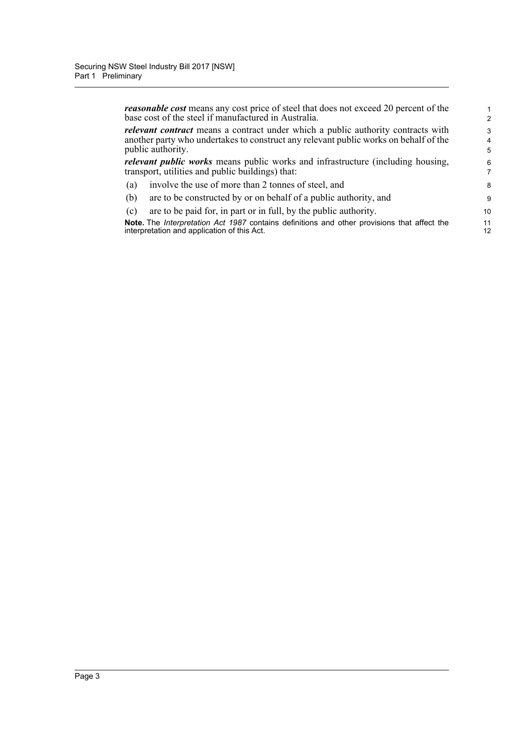*reasonable cost* means any cost price of steel that does not exceed 20 percent of the base cost of the steel if manufactured in Australia.

*relevant contract* means a contract under which a public authority contracts with another party who undertakes to construct any relevant public works on behalf of the public authority.

*relevant public works* means public works and infrastructure (including housing, transport, utilities and public buildings) that:

- (a) involve the use of more than 2 tonnes of steel, and
- (b) are to be constructed by or on behalf of a public authority, and
- (c) are to be paid for, in part or in full, by the public authority.

**Note.** The *Interpretation Act 1987* contains definitions and other provisions that affect the interpretation and application of this Act.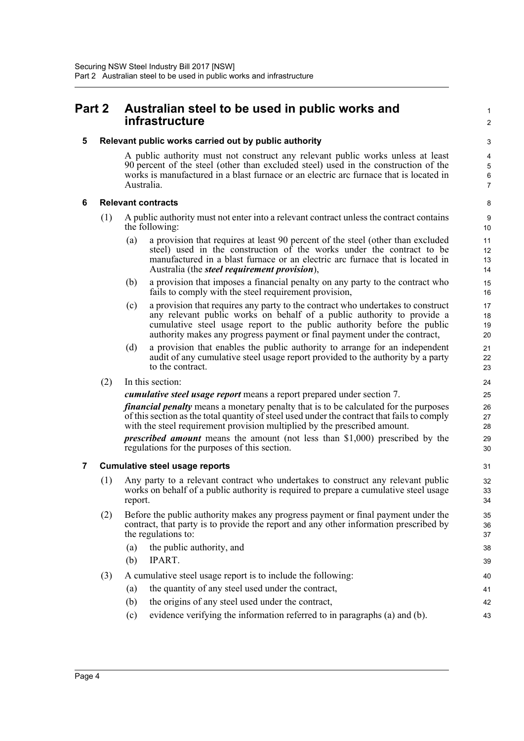## <span id="page-7-0"></span>**Part 2 Australian steel to be used in public works and infrastructure**

<span id="page-7-1"></span>**5 Relevant public works carried out by public authority**

A public authority must not construct any relevant public works unless at least 90 percent of the steel (other than excluded steel) used in the construction of the works is manufactured in a blast furnace or an electric arc furnace that is located in Australia.

1  $\mathfrak{p}$ 

#### <span id="page-7-2"></span>**6 Relevant contracts**

- (1) A public authority must not enter into a relevant contract unless the contract contains the following:
	- (a) a provision that requires at least 90 percent of the steel (other than excluded steel) used in the construction of the works under the contract to be manufactured in a blast furnace or an electric arc furnace that is located in Australia (the *steel requirement provision*),
	- (b) a provision that imposes a financial penalty on any party to the contract who fails to comply with the steel requirement provision,
	- (c) a provision that requires any party to the contract who undertakes to construct any relevant public works on behalf of a public authority to provide a cumulative steel usage report to the public authority before the public authority makes any progress payment or final payment under the contract,
	- (d) a provision that enables the public authority to arrange for an independent audit of any cumulative steel usage report provided to the authority by a party to the contract.
- (2) In this section:

*cumulative steel usage report* means a report prepared under section 7.

*financial penalty* means a monetary penalty that is to be calculated for the purposes of this section as the total quantity of steel used under the contract that fails to comply with the steel requirement provision multiplied by the prescribed amount.

*prescribed amount* means the amount (not less than \$1,000) prescribed by the regulations for the purposes of this section.

#### <span id="page-7-3"></span>**7 Cumulative steel usage reports**

- (1) Any party to a relevant contract who undertakes to construct any relevant public works on behalf of a public authority is required to prepare a cumulative steel usage report.
- (2) Before the public authority makes any progress payment or final payment under the contract, that party is to provide the report and any other information prescribed by the regulations to:
	- (a) the public authority, and
	- (b) IPART.
- (3) A cumulative steel usage report is to include the following:
	- (a) the quantity of any steel used under the contract,
	- (b) the origins of any steel used under the contract,
	- (c) evidence verifying the information referred to in paragraphs (a) and (b).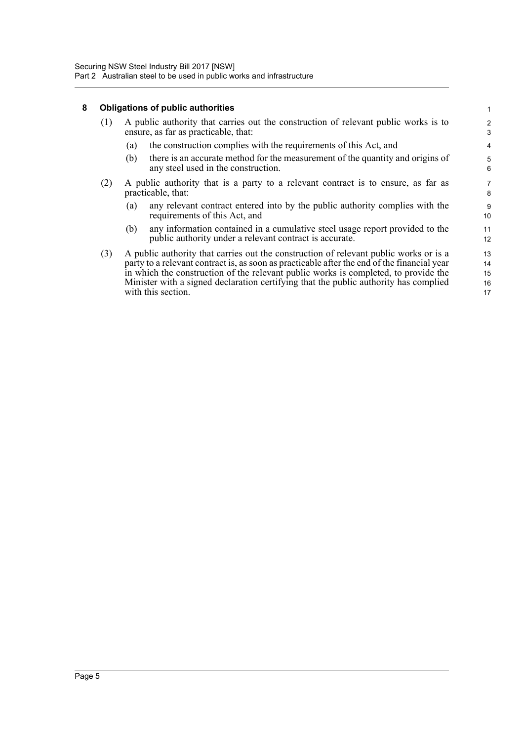### <span id="page-8-0"></span>**8 Obligations of public authorities**

|                                                                                                                                                                                                                                                                                                                                                                                                  |                                                                                                                                         | 2<br>3                                                                                                                      |
|--------------------------------------------------------------------------------------------------------------------------------------------------------------------------------------------------------------------------------------------------------------------------------------------------------------------------------------------------------------------------------------------------|-----------------------------------------------------------------------------------------------------------------------------------------|-----------------------------------------------------------------------------------------------------------------------------|
| (a)                                                                                                                                                                                                                                                                                                                                                                                              | the construction complies with the requirements of this Act, and                                                                        | 4                                                                                                                           |
| (b)                                                                                                                                                                                                                                                                                                                                                                                              | there is an accurate method for the measurement of the quantity and origins of<br>any steel used in the construction.                   | 5<br>6                                                                                                                      |
| A public authority that is a party to a relevant contract is to ensure, as far as<br>practicable, that:                                                                                                                                                                                                                                                                                          |                                                                                                                                         | 7<br>8                                                                                                                      |
| (a)                                                                                                                                                                                                                                                                                                                                                                                              | any relevant contract entered into by the public authority complies with the<br>requirements of this Act, and                           | 9<br>10                                                                                                                     |
| (b)                                                                                                                                                                                                                                                                                                                                                                                              | any information contained in a cumulative steel usage report provided to the<br>public authority under a relevant contract is accurate. | 11<br>12                                                                                                                    |
| (3)<br>A public authority that carries out the construction of relevant public works or is a<br>party to a relevant contract is, as soon as practicable after the end of the financial year<br>in which the construction of the relevant public works is completed, to provide the<br>Minister with a signed declaration certifying that the public authority has complied<br>with this section. |                                                                                                                                         | 13<br>14<br>15<br>16<br>17                                                                                                  |
|                                                                                                                                                                                                                                                                                                                                                                                                  |                                                                                                                                         | A public authority that carries out the construction of relevant public works is to<br>ensure, as far as practicable, that: |

1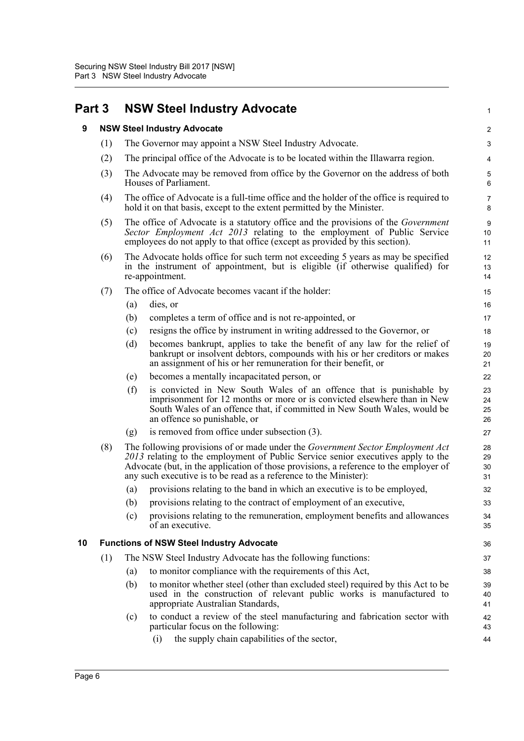<span id="page-9-2"></span><span id="page-9-1"></span><span id="page-9-0"></span>

| Part 3 |     | <b>NSW Steel Industry Advocate</b>                                                                                                                                                                                                                                                                                                      | $\mathbf{1}$                 |
|--------|-----|-----------------------------------------------------------------------------------------------------------------------------------------------------------------------------------------------------------------------------------------------------------------------------------------------------------------------------------------|------------------------------|
| 9      |     | <b>NSW Steel Industry Advocate</b>                                                                                                                                                                                                                                                                                                      | 2                            |
|        | (1) | The Governor may appoint a NSW Steel Industry Advocate.                                                                                                                                                                                                                                                                                 | 3                            |
|        | (2) | The principal office of the Advocate is to be located within the Illawarra region.                                                                                                                                                                                                                                                      | 4                            |
|        | (3) | The Advocate may be removed from office by the Governor on the address of both<br>Houses of Parliament.                                                                                                                                                                                                                                 | $\mathbf 5$<br>6             |
|        | (4) | The office of Advocate is a full-time office and the holder of the office is required to<br>hold it on that basis, except to the extent permitted by the Minister.                                                                                                                                                                      | $\overline{7}$<br>8          |
|        | (5) | The office of Advocate is a statutory office and the provisions of the <i>Government</i><br>Sector Employment Act 2013 relating to the employment of Public Service<br>employees do not apply to that office (except as provided by this section).                                                                                      | $\boldsymbol{9}$<br>10<br>11 |
|        | (6) | The Advocate holds office for such term not exceeding 5 years as may be specified<br>in the instrument of appointment, but is eligible (if otherwise qualified) for<br>re-appointment.                                                                                                                                                  | 12<br>13<br>14               |
|        | (7) | The office of Advocate becomes vacant if the holder:                                                                                                                                                                                                                                                                                    | 15                           |
|        |     | (a)<br>dies, or                                                                                                                                                                                                                                                                                                                         | 16                           |
|        |     | completes a term of office and is not re-appointed, or<br>(b)                                                                                                                                                                                                                                                                           | 17                           |
|        |     | resigns the office by instrument in writing addressed to the Governor, or<br>(c)                                                                                                                                                                                                                                                        | 18                           |
|        |     | becomes bankrupt, applies to take the benefit of any law for the relief of<br>(d)<br>bankrupt or insolvent debtors, compounds with his or her creditors or makes<br>an assignment of his or her remuneration for their benefit, or                                                                                                      | 19<br>20<br>21               |
|        |     | becomes a mentally incapacitated person, or<br>(e)                                                                                                                                                                                                                                                                                      | 22                           |
|        |     | (f)<br>is convicted in New South Wales of an offence that is punishable by<br>imprisonment for 12 months or more or is convicted elsewhere than in New<br>South Wales of an offence that, if committed in New South Wales, would be<br>an offence so punishable, or                                                                     | 23<br>24<br>25<br>26         |
|        |     | is removed from office under subsection (3).<br>(g)                                                                                                                                                                                                                                                                                     | 27                           |
|        | (8) | The following provisions of or made under the <i>Government Sector Employment Act</i><br>2013 relating to the employment of Public Service senior executives apply to the<br>Advocate (but, in the application of those provisions, a reference to the employer of<br>any such executive is to be read as a reference to the Minister): | 28<br>29<br>30<br>31         |
|        |     | provisions relating to the band in which an executive is to be employed,<br>(a)                                                                                                                                                                                                                                                         | 32                           |
|        |     | provisions relating to the contract of employment of an executive,<br>(b)                                                                                                                                                                                                                                                               | 33                           |
|        |     | provisions relating to the remuneration, employment benefits and allowances<br>(c)<br>of an executive.                                                                                                                                                                                                                                  | 34<br>35                     |
| 10     |     | <b>Functions of NSW Steel Industry Advocate</b>                                                                                                                                                                                                                                                                                         | 36                           |
|        | (1) | The NSW Steel Industry Advocate has the following functions:                                                                                                                                                                                                                                                                            | 37                           |
|        |     | to monitor compliance with the requirements of this Act,<br>(a)                                                                                                                                                                                                                                                                         | 38                           |
|        |     | to monitor whether steel (other than excluded steel) required by this Act to be<br>(b)<br>used in the construction of relevant public works is manufactured to<br>appropriate Australian Standards,                                                                                                                                     | 39<br>40<br>41               |
|        |     | to conduct a review of the steel manufacturing and fabrication sector with<br>(c)<br>particular focus on the following:                                                                                                                                                                                                                 | 42<br>43                     |
|        |     | the supply chain capabilities of the sector,<br>(i)                                                                                                                                                                                                                                                                                     | 44                           |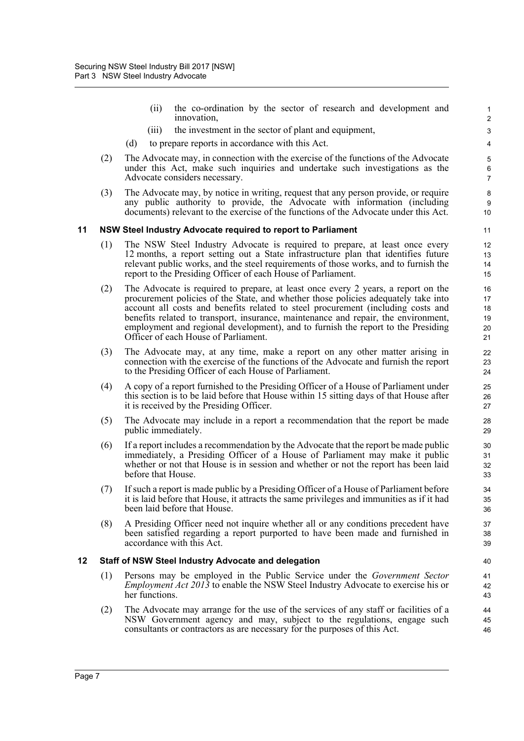(ii) the co-ordination by the sector of research and development and innovation,

- (iii) the investment in the sector of plant and equipment,
- (d) to prepare reports in accordance with this Act.
- (2) The Advocate may, in connection with the exercise of the functions of the Advocate under this Act, make such inquiries and undertake such investigations as the Advocate considers necessary.
- (3) The Advocate may, by notice in writing, request that any person provide, or require any public authority to provide, the Advocate with information (including documents) relevant to the exercise of the functions of the Advocate under this Act.

#### <span id="page-10-0"></span>**11 NSW Steel Industry Advocate required to report to Parliament**

- (1) The NSW Steel Industry Advocate is required to prepare, at least once every 12 months, a report setting out a State infrastructure plan that identifies future relevant public works, and the steel requirements of those works, and to furnish the report to the Presiding Officer of each House of Parliament.
- (2) The Advocate is required to prepare, at least once every 2 years, a report on the procurement policies of the State, and whether those policies adequately take into account all costs and benefits related to steel procurement (including costs and benefits related to transport, insurance, maintenance and repair, the environment, employment and regional development), and to furnish the report to the Presiding Officer of each House of Parliament.
- (3) The Advocate may, at any time, make a report on any other matter arising in connection with the exercise of the functions of the Advocate and furnish the report to the Presiding Officer of each House of Parliament.
- (4) A copy of a report furnished to the Presiding Officer of a House of Parliament under this section is to be laid before that House within 15 sitting days of that House after it is received by the Presiding Officer.
- (5) The Advocate may include in a report a recommendation that the report be made public immediately.
- (6) If a report includes a recommendation by the Advocate that the report be made public immediately, a Presiding Officer of a House of Parliament may make it public whether or not that House is in session and whether or not the report has been laid before that House.
- (7) If such a report is made public by a Presiding Officer of a House of Parliament before it is laid before that House, it attracts the same privileges and immunities as if it had been laid before that House.
- (8) A Presiding Officer need not inquire whether all or any conditions precedent have been satisfied regarding a report purported to have been made and furnished in accordance with this Act.

#### <span id="page-10-1"></span>**12 Staff of NSW Steel Industry Advocate and delegation**

- (1) Persons may be employed in the Public Service under the *Government Sector Employment Act 2013* to enable the NSW Steel Industry Advocate to exercise his or her functions.
- (2) The Advocate may arrange for the use of the services of any staff or facilities of a NSW Government agency and may, subject to the regulations, engage such consultants or contractors as are necessary for the purposes of this Act.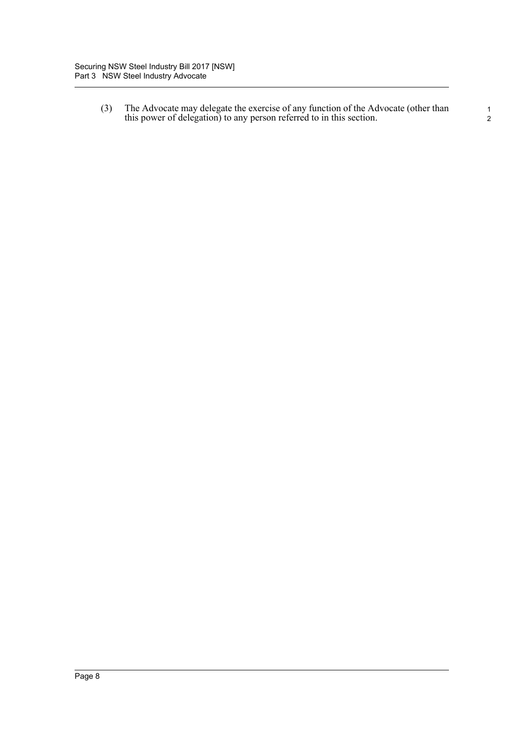(3) The Advocate may delegate the exercise of any function of the Advocate (other than this power of delegation) to any person referred to in this section.